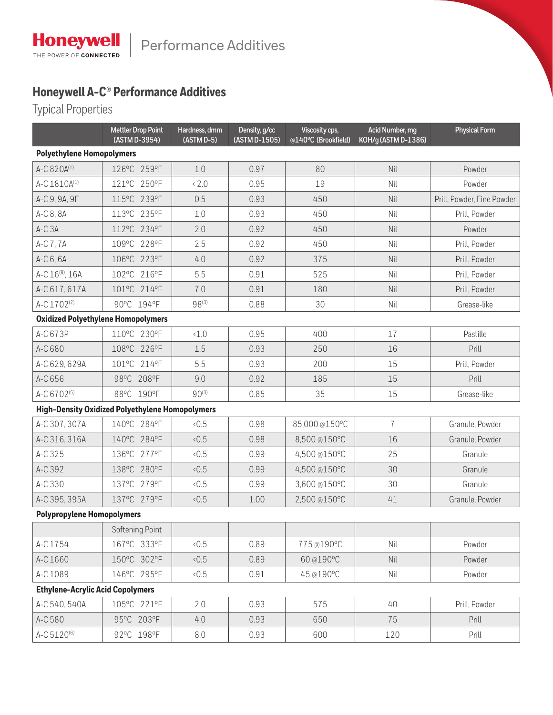## **Honeywell A-C® Performance Additives**

Typical Properties

|                                           | <b>Mettler Drop Point</b><br>(ASTM D-3954)             | Hardness, dmm<br>(ASTM D-5) | Density, g/cc<br>(ASTM D-1505) | Viscosity cps,<br>@140°C (Brookfield) | Acid Number, mg<br>KOH/g (ASTM D-1386) | <b>Physical Form</b>       |  |  |  |  |
|-------------------------------------------|--------------------------------------------------------|-----------------------------|--------------------------------|---------------------------------------|----------------------------------------|----------------------------|--|--|--|--|
| <b>Polyethylene Homopolymers</b>          |                                                        |                             |                                |                                       |                                        |                            |  |  |  |  |
| A-C 820A(1)                               | 126°C 259°F                                            | 1.0                         | 0.97                           | 80                                    | Nil                                    | Powder                     |  |  |  |  |
| A-C 1810A(1)                              | 121°C 250°F                                            | & 2.0                       | 0.95                           | 19                                    | Nil                                    | Powder                     |  |  |  |  |
| A-C 9, 9A, 9F                             | 115°C 239°F                                            | 0.5                         | 0.93                           | 450                                   | Nil                                    | Prill, Powder, Fine Powder |  |  |  |  |
| A-C 8, 8A                                 | 113°C 235°F                                            | 1.0                         | 0.93                           | 450                                   | Nil                                    | Prill, Powder              |  |  |  |  |
| A-C 3A                                    | 112°C 234°F                                            | 2.0                         | 0.92                           | 450                                   | Nil                                    | Powder                     |  |  |  |  |
| A-C 7, 7A                                 | 109°C 228°F                                            | 2.5                         | 0.92                           | 450                                   | Nil                                    | Prill, Powder              |  |  |  |  |
| A-C 6, 6A                                 | 106°C 223°F                                            | 4.0                         | 0.92                           | 375                                   | Nil                                    | Prill, Powder              |  |  |  |  |
| A-C 16 <sup>(8)</sup> , 16A               | 102°C 216°F                                            | 5.5                         | 0.91                           | 525                                   | Nil                                    | Prill, Powder              |  |  |  |  |
| A-C 617, 617A                             | 101°C 214°F                                            | 7.0                         | 0.91                           | 180                                   | Nil                                    | Prill, Powder              |  |  |  |  |
| A-C 1702 <sup>(2)</sup>                   | 90°C 194°F                                             | $98^{(3)}$                  | 0.88                           | 30                                    | Nil                                    | Grease-like                |  |  |  |  |
| <b>Oxidized Polyethylene Homopolymers</b> |                                                        |                             |                                |                                       |                                        |                            |  |  |  |  |
| A-C 673P                                  | 110°C 230°F                                            | $\langle 1.0$               | 0.95                           | 400                                   | 17                                     | Pastille                   |  |  |  |  |
| A-C 680                                   | 108°C 226°F                                            | 1.5                         | 0.93                           | 250                                   | 16                                     | Prill                      |  |  |  |  |
| A-C 629, 629A                             | 101°C 214°F                                            | 5.5                         | 0.93                           | 200                                   | 15                                     | Prill, Powder              |  |  |  |  |
| A-C 656                                   | 98°C 208°F                                             | 9.0                         | 0.92                           | 185                                   | 15                                     | Prill                      |  |  |  |  |
| A-C 6702 <sup>(5)</sup>                   | 88°C 190°F                                             | $90^{(3)}$                  | 0.85                           | 35                                    | 15                                     | Grease-like                |  |  |  |  |
|                                           | <b>High-Density Oxidized Polyethylene Homopolymers</b> |                             |                                |                                       |                                        |                            |  |  |  |  |
| A-C 307, 307A                             | 140°C 284°F                                            | 0.5                         | 0.98                           | 85,000@150°C                          | $\overline{1}$                         | Granule, Powder            |  |  |  |  |
| A-C 316, 316A                             | 140°C 284°F                                            | 0.5                         | 0.98                           | 8,500 @150°C                          | 16                                     | Granule, Powder            |  |  |  |  |
| A-C 325                                   | 136°C 277°F                                            | 0.5                         | 0.99                           | 4,500 @150°C                          | 25                                     | Granule                    |  |  |  |  |
| A-C 392                                   | 138°C 280°F                                            | 0.5                         | 0.99                           | 4,500 @150°C                          | 30                                     | Granule                    |  |  |  |  |
| A-C 330                                   | 137°C 279°F                                            | 0.5                         | 0.99                           | 3,600 @150°C                          | 30                                     | Granule                    |  |  |  |  |
| A-C 395, 395A                             | 137°C 279°F                                            | 0.5                         | 1.00                           | 2,500 @150°C                          | 41                                     | Granule, Powder            |  |  |  |  |
| <b>Polypropylene Homopolymers</b>         |                                                        |                             |                                |                                       |                                        |                            |  |  |  |  |
|                                           | Softening Point                                        |                             |                                |                                       |                                        |                            |  |  |  |  |
| A-C 1754                                  | 167°C 333°F                                            | <0.5                        | 0.89                           | 775@190°C                             | Nil                                    | Powder                     |  |  |  |  |
| A-C 1660                                  | 150°C 302°F                                            | <0.5                        | 0.89                           | 60@190°C                              | Nil                                    | Powder                     |  |  |  |  |
| A-C 1089                                  | 146°C 295°F                                            | 0.5                         | 0.91                           | 45@190°C                              | Nil                                    | Powder                     |  |  |  |  |
| <b>Ethylene-Acrylic Acid Copolymers</b>   |                                                        |                             |                                |                                       |                                        |                            |  |  |  |  |
| A-C 540, 540A                             | 105°C 221°F                                            | 2.0                         | 0.93                           | 575                                   | 40                                     | Prill, Powder              |  |  |  |  |
| A-C 580                                   | 95°C 203°F                                             | 4.0                         | 0.93                           | 650                                   | 75                                     | Prill                      |  |  |  |  |
| A-C 5120 <sup>(6)</sup>                   | 92°C 198°F                                             | 8.0                         | 0.93                           | 600                                   | 120                                    | Prill                      |  |  |  |  |